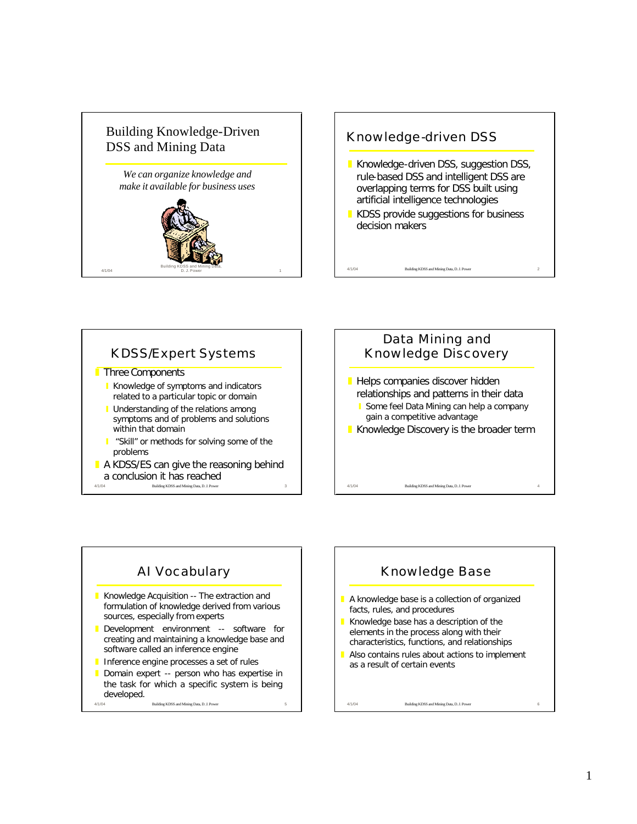



## KDSS/Expert Systems

- **Three Components** 
	- **Knowledge of symptoms and indicators** related to a particular topic or domain
	- **Understanding of the relations among** symptoms and of problems and solutions within that domain
	- "Skill" or methods for solving some of the problems
- 4/1/04 Building KDSS and Mining Data, D. J. Pow  $\blacksquare$  A KDSS/ES can give the reasoning behind a conclusion it has reached
- 4/1/04 Building KDSS and Mining Data, D. J. Power 4 Data Mining and Knowledge Discovery **Helps companies discover hidden** relationships and patterns in their data Some feel Data Mining can help a company gain a competitive advantage **Knowledge Discovery is the broader term**

## AI Vocabulary

- **Knowledge Acquisition -- The extraction and** formulation of knowledge derived from various sources, especially from experts
- **Development environment -- software for** creating and maintaining a knowledge base and software called an inference engine
- **I** Inference engine processes a set of rules
- Domain expert -- person who has expertise in the task for which a specific system is being developed.
- 4/1/04 Building KDSS and Mining Data, D. J. Power

## Knowledge Base

- $\blacksquare$  A knowledge base is a collection of organized facts, rules, and procedures
- Knowledge base has a description of the elements in the process along with their characteristics, functions, and relationships

4/1/04 Building KDSS and Mining Data, D. J. Power 6

Also contains rules about actions to implement as a result of certain events

1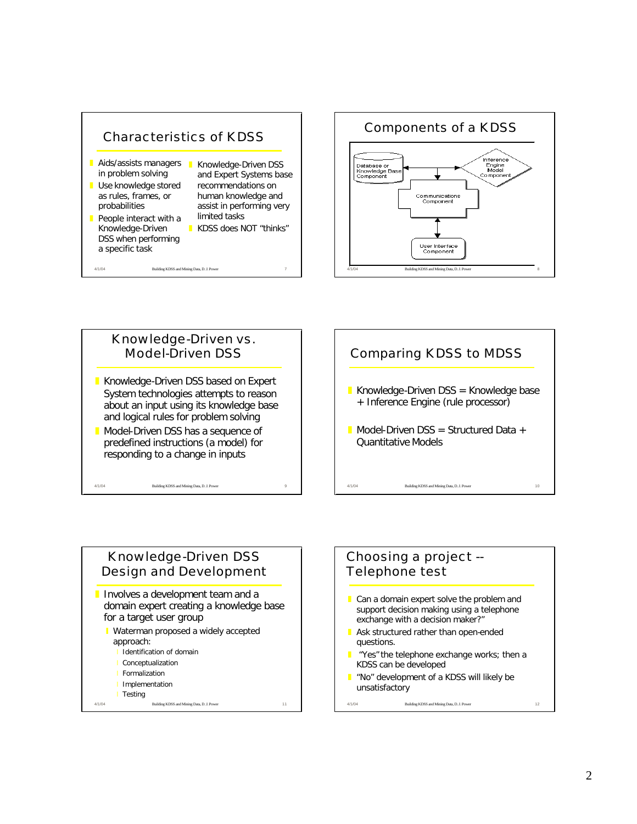







- Involves a development team and a domain expert creating a knowledge base for a target user group
	- **Vaterman proposed a widely accepted** approach:
		- Identification of domain
		- **Conceptualization**
		- **Formalization**
		- **I** Implementation
	- **I** Testing

4/1/04 Building KDSS and Mining Data, D. J. Power 11



4/1/04 Building KDSS and Mining Data, D. J. Power 12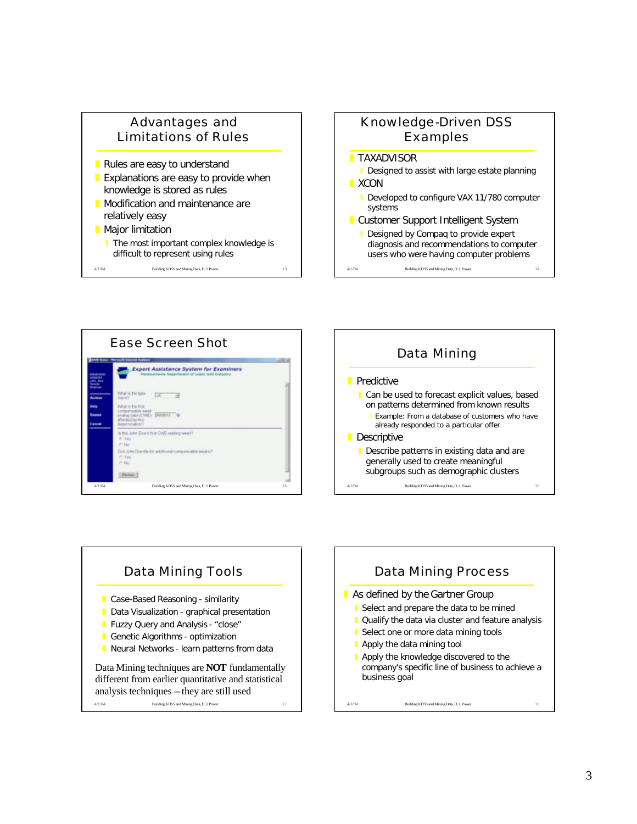